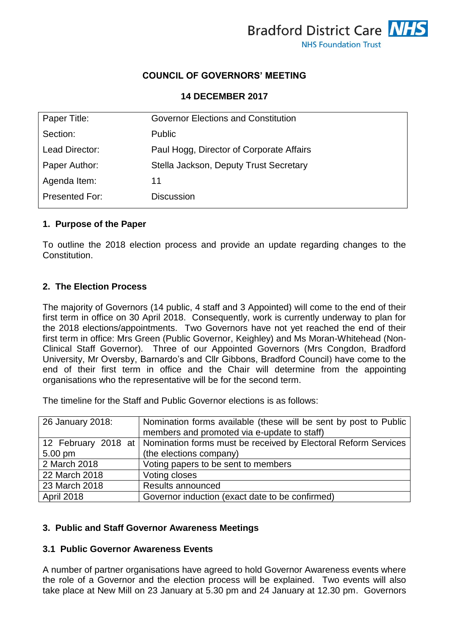

# **COUNCIL OF GOVERNORS' MEETING**

**14 DECEMBER 2017**

| Paper Title:   | <b>Governor Elections and Constitution</b> |
|----------------|--------------------------------------------|
| Section:       | <b>Public</b>                              |
| Lead Director: | Paul Hogg, Director of Corporate Affairs   |
| Paper Author:  | Stella Jackson, Deputy Trust Secretary     |
| Agenda Item:   | 11                                         |
| Presented For: | <b>Discussion</b>                          |

#### **1. Purpose of the Paper**

To outline the 2018 election process and provide an update regarding changes to the Constitution.

### **2. The Election Process**

The majority of Governors (14 public, 4 staff and 3 Appointed) will come to the end of their first term in office on 30 April 2018. Consequently, work is currently underway to plan for the 2018 elections/appointments. Two Governors have not yet reached the end of their first term in office: Mrs Green (Public Governor, Keighley) and Ms Moran-Whitehead (Non-Clinical Staff Governor). Three of our Appointed Governors (Mrs Congdon, Bradford University, Mr Oversby, Barnardo's and Cllr Gibbons, Bradford Council) have come to the end of their first term in office and the Chair will determine from the appointing organisations who the representative will be for the second term.

The timeline for the Staff and Public Governor elections is as follows:

| 26 January 2018:  | Nomination forms available (these will be sent by post to Public<br>members and promoted via e-update to staff) |
|-------------------|-----------------------------------------------------------------------------------------------------------------|
|                   | 12 February 2018 at   Nomination forms must be received by Electoral Reform Services                            |
| $5.00 \text{ pm}$ | (the elections company)                                                                                         |
| 2 March 2018      | Voting papers to be sent to members                                                                             |
| 22 March 2018     | Voting closes                                                                                                   |
| 23 March 2018     | Results announced                                                                                               |
| April 2018        | Governor induction (exact date to be confirmed)                                                                 |

### **3. Public and Staff Governor Awareness Meetings**

### **3.1 Public Governor Awareness Events**

A number of partner organisations have agreed to hold Governor Awareness events where the role of a Governor and the election process will be explained. Two events will also take place at New Mill on 23 January at 5.30 pm and 24 January at 12.30 pm. Governors